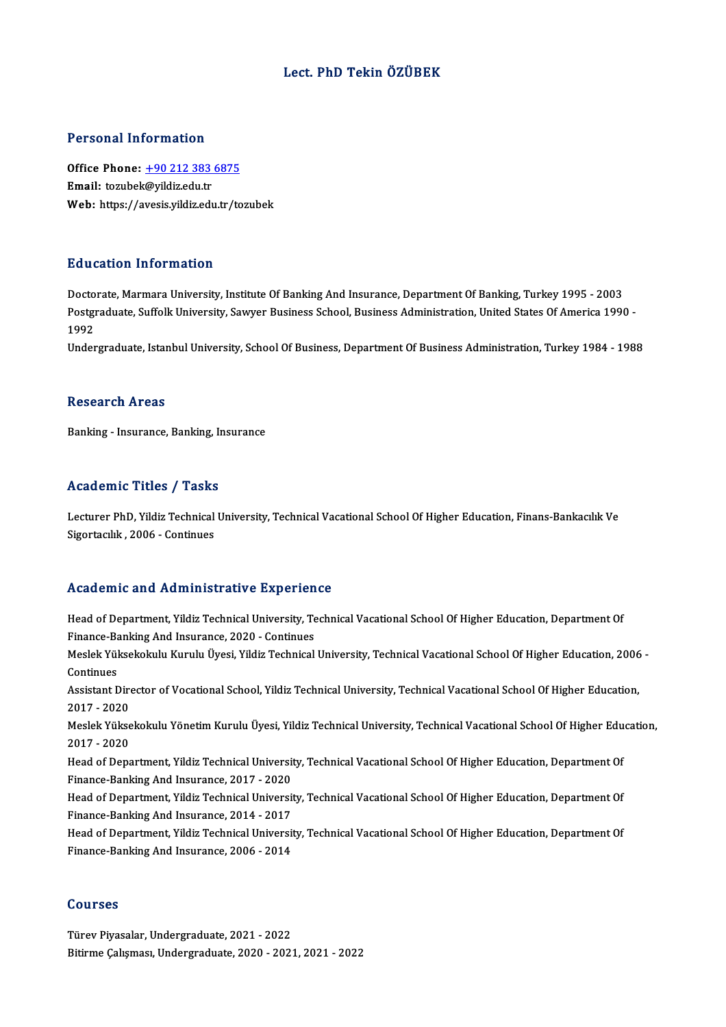# Lect. PhD Tekin ÖZÜBEK

### Personal Information

Personal Information<br>Office Phone: <u>+90 212 383 6875</u><br>Email: terubel:@vildir.edu.tr Processing internation<br>Office Phone: <u>+90 212 383</u><br>Email: tozubek[@yildiz.edu.tr](tel:+90 212 383 6875) Office Phone: <u>+90 212 383 6875</u><br>Email: tozubek@yildiz.edu.tr<br>Web: https://avesis.yildiz.edu.tr/tozubek Web: https://avesis.yildiz.edu.tr/tozubek<br>Education Information

Doctorate, Marmara University, Institute Of Banking And Insurance, Department Of Banking, Turkey 1995 - 2003 Pulusation Throf Inderon<br>Doctorate, Marmara University, Institute Of Banking And Insurance, Department Of Banking, Turkey 1995 - 2003<br>Postgraduate, Suffolk University, Sawyer Business School, Business Administration, Unite Docto<br>Postgi<br>1992<br>Under Postgraduate, Suffolk University, Sawyer Business School, Business Administration, United States Of America 1990 -<br>1992<br>Undergraduate, Istanbul University, School Of Business, Department Of Business Administration, Turkey

Undergraduate, Istanbul University, School Of Business, Department Of Business Administration, Turkey 1984 - 1988<br>Research Areas

Banking - Insurance, Banking, Insurance

## Academic Titles / Tasks

Lecturer PhD, Yildiz Technical University, Technical Vacational School Of Higher Education, Finans-Bankacılık Ve Sigortacılık, 2006 - Continues

## Academic and Administrative Experience

Academic and Administrative Experience<br>Head of Department, Yildiz Technical University, Technical Vacational School Of Higher Education, Department Of<br>Finance Benking And Insurance 2020, Continues Finance-Banking And Insurance-Banking<br>Finance-Banking And Insurance, 2020 - Continues<br>Meelek Yüksekeltulu Kurulu Üyesi Vildiz Teshnisel Head of Department, Yildiz Technical University, Technical Vacational School Of Higher Education, Department Of<br>Finance-Banking And Insurance, 2020 - Continues<br>Meslek Yüksekokulu Kurulu Üyesi, Yildiz Technical University,

Finance-Banking And Insurance, 2020 - Continues<br>Meslek Yüksekokulu Kurulu Üyesi, Yildiz Technical<br>Continues Meslek Yüksekokulu Kurulu Üyesi, Yildiz Technical University, Technical Vacational School Of Higher Education, 2006 -<br>Continues<br>Assistant Director of Vocational School, Yildiz Technical University, Technical Vacational Sch

Assistant Director of Vocational School, Yildiz Technical University, Technical Vacational School Of Higher Education, Assistant Director of Vocational School, Yildiz Technical University, Technical Vacational School Of Higher Education,<br>2017 - 2020<br>Meslek Yüksekokulu Yönetim Kurulu Üyesi, Yildiz Technical University, Technical Vacational

2017 - 2020<br>Meslek Yükse<br>2017 - 2020<br>Heed of Dens Meslek Yüksekokulu Yönetim Kurulu Üyesi, Yildiz Technical University, Technical Vacational School Of Higher Edu<br>2017 - 2020<br>Head of Department, Yildiz Technical University, Technical Vacational School Of Higher Education,

2017 - 2020<br>Head of Department, Yildiz Technical Universit<br>Finance-Banking And Insurance, 2017 - 2020<br>Head of Department, Yildiz Technical Universit

Head of Department, Yildiz Technical University, Technical Vacational School Of Higher Education, Department Of<br>Finance-Banking And Insurance, 2017 - 2020<br>Head of Department, Yildiz Technical University, Technical Vacation Finance-Banking And Insurance, 2017 - 2020<br>Head of Department, Yildiz Technical Universit<br>Finance-Banking And Insurance, 2014 - 2017<br>Head of Department, Yildiz Technical Universit Head of Department, Yildiz Technical University, Technical Vacational School Of Higher Education, Department Of<br>Finance-Banking And Insurance, 2014 - 2017<br>Head of Department, Yildiz Technical University, Technical Vacation

Finance-Banking And Insurance, 2014 - 2017<br>Head of Department, Yildiz Technical Universit<br>Finance-Banking And Insurance, 2006 - 2014 Finance-Banking And Insurance, 2006 - 2014<br>Courses

Türev Piyasalar, Undergraduate, 2021 - 2022 BitirmeÇalışması,Undergraduate,2020 -2021,2021 -2022